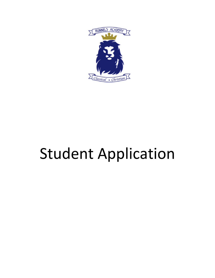

# Student Application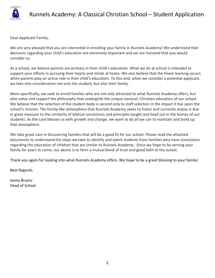

Dear Applicant Family,

We are very pleased that you are interested in enrolling your family in Runnels Academy! We understand that decisions regarding your child's education are extremely important and we are honored that you would consider us.

As a school, we believe parents are primary in their child's education. What we do at school is intended to support your efforts in pursuing their hearts and minds at home. We also believe that the finest learning occurs when parents play an active role in their child's education. To this end, when we consider a potential applicant, we take into consideration not only the student, but also their family.

More specifically, we seek to enroll families who are not only attracted to what Runnels Academy offers, but who value and support the philosophy that undergirds the unique classical, Christian education of our school. We believe that the selection of the student body is second only to staff selection in the impact it has upon the school's mission. The family-like atmosphere that Runnels Academy seeks to foster and currently enjoys is due in great measure to the similarity of biblical convictions and principles taught and lived out in the homes of our students. As the Lord blesses us with growth and change, we want to do all we can to maintain and build up that atmosphere.

We take great care in discovering families that will be a good fit for our school. Please read the attached documents to understand the steps we take to identify and admit students from families who have convictions regarding the education of children that are similar to Runnels Academy. Since we hope to be serving your family for years to come, our desire is to form a mutual bond of trust and good faith at the outset.

Thank you again for looking into what Runnels Academy offers. We hope to be a great blessing to your family!

Best Regards,

Jenny Bryans Head of School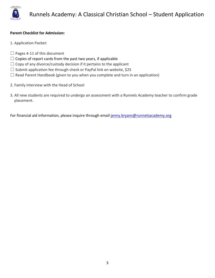

#### **Parent Checklist for Admission:**

- 1. Application Packet:
- $\Box$  Pages 4-11 of this document
- $\Box$  Copies of report cards from the past two years, if applicable
- $\Box$  Copy of any divorce/custody decision if it pertains to the applicant
- $\Box$  Submit application fee through check or PayPal link on website, \$25
- $\Box$  Read Parent Handbook (given to you when you complete and turn in an application)
- 2. Family interview with the Head of School
- 3. All new students are required to undergo an assessment with a Runnels Academy teacher to confirm grade placement.

For financial aid information, please inquire through email jenny.bryans@runnelsacademy.org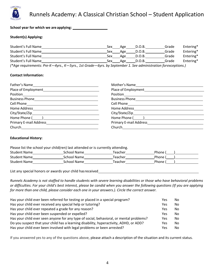

**School year for which we are applying:**

#### **Student(s) Applying:**

| Student's Full Name                          | Sex | Age | D.O.B. | Grade | Entering* |
|----------------------------------------------|-----|-----|--------|-------|-----------|
| Student's Full Name                          | Sex | Age | D.O.B. | Grade | Entering* |
| Student's Full Name                          | Sex | Age | D.O.B. | Grade | Entering* |
| Student's Full Name                          | Sex | Age | D.O.B. | Grade | Entering* |
| $\overline{1}$ $\overline{2}$ $\overline{3}$ |     |     |        |       |           |

*(\*Age requirements: Pre-K—4yrs., K—5yrs., 1st Grade—6yrs. by September 1. See administration forexceptions.)*

#### **Contact Information:**

| Position Position Position Provider Communication Communication Communication Communication Communication Comm | Position Position                        |  |
|----------------------------------------------------------------------------------------------------------------|------------------------------------------|--|
|                                                                                                                |                                          |  |
|                                                                                                                |                                          |  |
|                                                                                                                |                                          |  |
|                                                                                                                |                                          |  |
|                                                                                                                |                                          |  |
| Primary E-mail Address <b>Example 20</b>                                                                       | Primary E-mail Address <b>Example 20</b> |  |
| Church                                                                                                         | Church <u>_________________</u>          |  |

#### **Educational History:**

| Please list the school your child(ren) last attended or is currently attending. |             |         |       |
|---------------------------------------------------------------------------------|-------------|---------|-------|
| <b>Student Name</b>                                                             | School Name | Teacher | Phone |
| <b>Student Name</b>                                                             | School Name | Teacher | Phone |
| <b>Student Name</b>                                                             | School Name | Teacher | Phone |

List any special honors or awards your child hasreceived

*Runnels Academy is not staffed to handle students with severe learning disabilities or those who have behavioral problems or difficulties. For your child's best interest, please be candid when you answer the following questions (If you are applying for more than one child, please consider each one in your answers.). Circle the correct answer.*

| Has your child ever been referred for testing or placed in a special program?           | Yes | No. |
|-----------------------------------------------------------------------------------------|-----|-----|
| Has your child ever received any special help or tutoring?                              | Yes | No. |
| Has your child ever repeated a grade for any reason?                                    | Yes | No. |
| Has your child ever been suspended or expelled?                                         | Yes | No. |
| Has your child ever seen anyone for any type of social, behavioral, or mental problems? | Yes | No. |
| Do you suspect that your child has a learning disability, hyperactivity, ADHD, or ADD?  | Yes | No. |
| Has your child ever been involved with legal problems or been arrested?                 | Yes | No. |

If you answered yes to any of the questions above, please attach a description of the situation and its current status.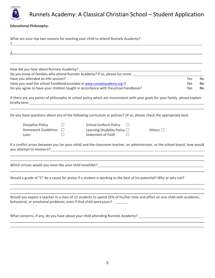

#### **Educational Philosophy:**

| What are your top two reasons for wanting your child to attend Runnels Academy?                                                                                                              |     |
|----------------------------------------------------------------------------------------------------------------------------------------------------------------------------------------------|-----|
|                                                                                                                                                                                              |     |
|                                                                                                                                                                                              |     |
| Do you know of families who attend Runnels Academy? If so, please list some. ________________________________                                                                                |     |
| Have you attended an info session?<br><b>Yes</b>                                                                                                                                             | No. |
| Have you read the school handbook (available at www.runnelsacademy.org)?<br><b>Yes</b>                                                                                                       | No  |
| Do you agree to have your children taught in accordance with theschool handbook?<br><b>Yes</b>                                                                                               | No  |
| If there are any points of philosophy or school policy which are inconsistent with your goals for your family, please explain                                                                |     |
| Do you have questions about any of the following curriculum or policies? (If so, please check the appropriate box)                                                                           |     |
| $\Box$<br><b>School Uniform Policy</b><br>$\Box$<br><b>Discipline Policy</b>                                                                                                                 |     |
| Homework Guidelines $\Box$<br>Learning Disability Policy $\square$<br>Others $\square$                                                                                                       |     |
| □<br><b>Statement of Faith</b><br>П<br>Latin                                                                                                                                                 |     |
| If a conflict arises between you (or your child) and the classroom teacher, an administrator, or the school board, how would                                                                 |     |
| Which virtues would you most like your child to exhibit?<br>Which virtues would you most like your child to exhibit?                                                                         |     |
| Should a grade of "C" be a cause for praise if a student is working to the best of his potential? Why or why not?                                                                            |     |
| Would you expect a teacher in a class of 12 students to spend 25% of his/her time and effort on one child with academic,<br>behavioral, or emotional problems, even if that child wereyours? |     |
| What concerns, if any, do you have about your child attending Runnels Academy?                                                                                                               |     |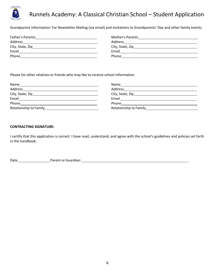

Grandparent Information: For Newsletter Mailing (via email) and invitations to Grandparents' Day and other family events.

| Mother's Parents |
|------------------|
| Address          |
|                  |
| Email            |
| Phone            |
|                  |

Please list other relatives or friends who may like to receive school information:

| Name                   | Name                                        |
|------------------------|---------------------------------------------|
| Address                | Address                                     |
|                        |                                             |
| Email                  | Email                                       |
| Phone                  | Phone                                       |
| Relationship to Family | Relationship to Family <b>Exercise 2018</b> |

#### **CONTRACTING SIGNATURE:**

I certify that this application is correct. I have read, understand, and agree with the school's guidelines and policies set forth in the handbook.

Date Parent or Guardian: Parent or Guardian: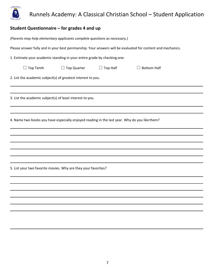

### **Student Questionnaire – for grades 4 and up**

| (Parents may help elementary applicants complete questions as necessary.)                                  |  |  |
|------------------------------------------------------------------------------------------------------------|--|--|
| Please answer fully and in your best penmanship. Your answers will be evaluated for content and mechanics. |  |  |
| 1. Estimate your academic standing in your entire grade by checking one:                                   |  |  |
| $\Box$ Top Tenth<br>$\Box$ Top Quarter<br>Top Half<br>$\Box$ Bottom Half<br>$\Box$                         |  |  |
| 2. List the academic subject(s) of greatest interest to you.                                               |  |  |
|                                                                                                            |  |  |
| 3. List the academic subject(s) of least interest to you.                                                  |  |  |
|                                                                                                            |  |  |
| 4. Name two books you have especially enjoyed reading in the last year. Why do you like them?              |  |  |
|                                                                                                            |  |  |
|                                                                                                            |  |  |
|                                                                                                            |  |  |
|                                                                                                            |  |  |
|                                                                                                            |  |  |
| 5. List your two favorite movies. Why are they your favorites?                                             |  |  |
|                                                                                                            |  |  |
|                                                                                                            |  |  |
|                                                                                                            |  |  |
|                                                                                                            |  |  |
|                                                                                                            |  |  |
|                                                                                                            |  |  |
|                                                                                                            |  |  |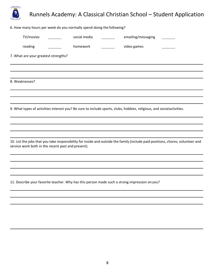

8. Weaknesses?

9. What types of activities interest you? Be sure to include sports, clubs, hobbies, religious, and socialactivities.

10. List the jobs that you take responsibility for inside and outside the family (include paid positions, chores, volunteer and service work both in the recent past and present).

11. Describe your favorite teacher. Why has this person made such a strong impression onyou?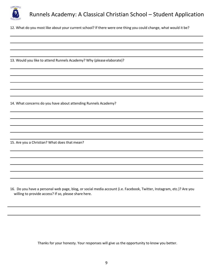

12. What do you most like about your current school? If there were one thing you could change, what would it be?

13. Would you like to attend Runnels Academy? Why (please elaborate)?

14. What concerns do you have about attending Runnels Academy?

15. Are you a Christian? What does that mean?

16. Do you have a personal web page, blog, or social media account (i.e. Facebook, Twitter, Instagram, etc.)? Are you willing to provide access? If so, please share here.

Thanks for your honesty. Your responses will give us the opportunity to know you better.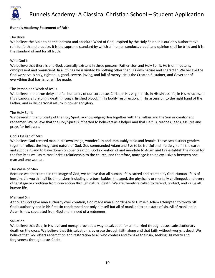

#### **Runnels Academy Statement of Faith**

#### The Bible

We believe the Bible to be the inerrant and absolute Word of God, inspired by the Holy Spirit. It is our only authoritative rule for faith and practice. It is the supreme standard by which all human conduct, creed, and opinion shall be tried and it is the standard of and for all truth.

#### Who God Is

We believe that there is one God, eternally existent in three persons: Father, Son and Holy Spirit. He is omnipotent, omnipresent and omniscient. In all things He is limited by nothing other than His own nature and character. We believe the God we serve is holy, righteous, good, severe, loving, and full of mercy. He is the Creator, Sustainer, and Governor of everything that has, is, or will be made.

#### The Person and Work of Jesus

We believe in the true deity and full humanity of our Lord Jesus Christ, in His virgin birth, in His sinless life, in His miracles, in His vicarious and atoning death through His shed blood, in His bodily resurrection, in His ascension to the right hand of the Father, and in His personal return in power and glory.

#### The Holy Spirit

We believe in the full deity of the Holy Spirit, acknowledging Him together with the Father and the Son as creator and redeemer. We believe that the Holy Spirit is imparted to believers as a helper and that He fills, teaches, leads, assures and prays for believers.

#### God's Design of Man

We believe God created man in His own image, wonderfully and immutably male and female. These two distinct genders together reflect the image and nature of God. God commanded Adam and Eve to be fruitful and multiply, to fill the earth and subdue it, and to have dominion over creation. God's creation of and mandate to Adam and Eve establish the model for the family as well as mirror Christ's relationship to the church, and therefore, marriage is to be exclusively between one man and one woman.

#### The Value of Man

Because we are created in the image of God, we believe that all human life is sacred and created by God. Human life is of inestimable worth in all its dimensions including pre-born babies, the aged, the physically or mentally challenged, and every other stage or condition from conception through natural death. We are therefore called to defend, protect, and value all human life.

#### Man and Sin

Although God gave man authority over creation, God made man subordinate to Himself. Adam attempted to throw off God's authority and in his first sin condemned not only himself but all of mankind to an estate of sin. All of mankind in Adam is now separated from God and in need of a redeemer.

#### **Salvation**

We believe that God, in His love and mercy, provided a way to salvation for all mankind through Jesus' substitutionary death on the cross. We believe that this salvation is by grace through faith alone and that faith without works is dead. We believe that God offers redemption and restoration to all who confess and forsake their sin, seeking His mercy and forgiveness through Jesus Christ.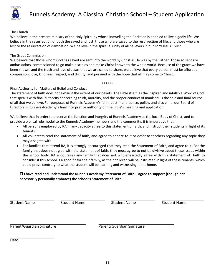

#### The Church

We believe in the present ministry of the Holy Spirit, by whose indwelling the Christian is enabled to live a godly life. We believe in the resurrection of both the saved and lost, those who are saved to the resurrection of life, and those who are lost to the resurrection of damnation. We believe in the spiritual unity of all believers in our Lord Jesus Christ.

#### The Great Commission

We believe that those whom God has saved are sent into the world by Christ as He was by the Father. Those so sent are ambassadors, commissioned to go make disciples and make Christ known to the whole world. Because of the grace we have been shown, and the truth and love of Jesus that we are called to share, we believe that every person must be afforded compassion, love, kindness, respect, and dignity, and pursued with the hope that all may come to Christ.

#### \*\*\*\*\*\*

#### Final Authority for Matters of Belief and Conduct

The statement of faith does not exhaust the extent of our beliefs. The Bible itself, as the inspired and infallible Word of God that speaks with final authority concerning truth, morality, and the proper conduct of mankind, is the sole and final source of all that we believe. For purposes of Runnels Academy's faith, doctrine, practice, policy, and discipline, our Board of Directors is Runnels Academy's final interpretive authority on the Bible's meaning and application.

We believe that in order to preserve the function and integrity of Runnels Academy as the local Body of Christ, and to provide a biblical role model to the Runnels Academy members and the community, it is imperative that:

- All persons employed by RA in any capacity agree to this statement of faith, and instruct their students in light of its tenants.
- All volunteers read the statement of faith, and agree to adhere to it or defer to teachers regarding any topic they may disagree with.
- For families that attend RA, it is strongly encouraged that they read the Statement of Faith, and agree to it. For the family that does not agree with the statement of faith, they must agree to not be divisive about these issues within the school body. RA encourages any family that does not wholeheartedly agree with this statement of faith to consider if this school is a good fit for their family, as their children will be instructed in light of these tenants, which could prove contrary to what the student will be learning and witnessing in thehome.

#### p **I have read and understand the Runnels Academy Statement of Faith. I agree to support (though not necessarily personally embrace) the school's Statement of Faith.**

Student Name The Student Name Student Name Student Name Student Name

Parent/Guardian Signature **Parent/Guardian Signature** 

Date